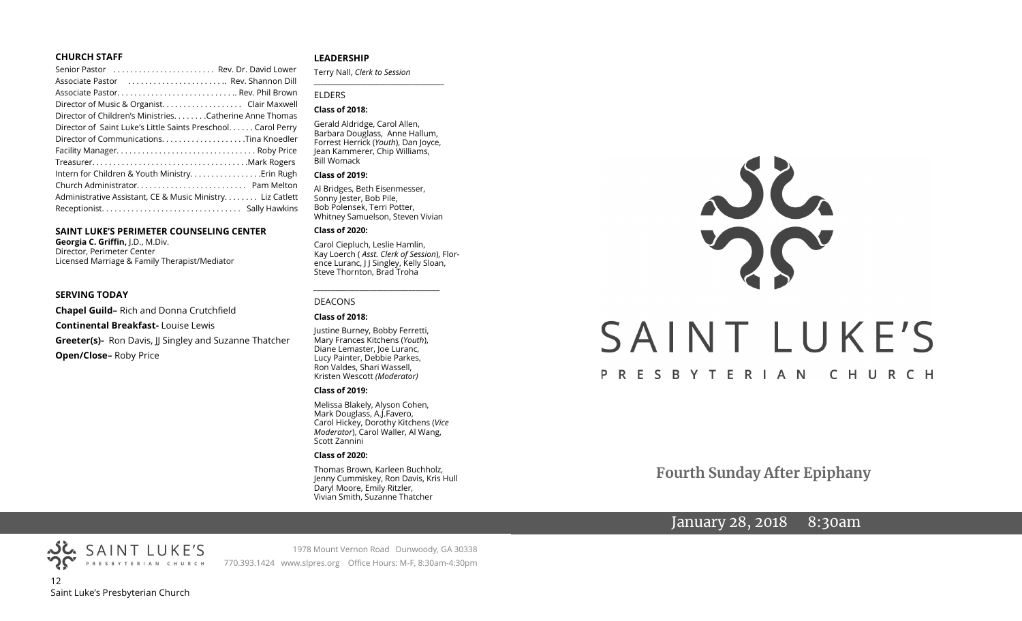#### **CHURCH STAFF**

| Senior Pastor  Rev. Dr. David Lower                          |  |
|--------------------------------------------------------------|--|
| Associate Pastor  Rev. Shannon Dill                          |  |
|                                                              |  |
| Director of Music & Organist. Clair Maxwell                  |  |
| Director of Children's Ministries. Catherine Anne Thomas     |  |
| Director of Saint Luke's Little Saints Preschool Carol Perry |  |
|                                                              |  |
|                                                              |  |
|                                                              |  |
| Intern for Children & Youth MinistryErin Rugh                |  |
|                                                              |  |
| Administrative Assistant, CE & Music Ministry Liz Catlett    |  |
|                                                              |  |

#### **SAINT LUKE'S PERIMETER COUNSELING CENTER**

**Georgia C. Griffin,** J.D., M.Div. Director, Perimeter Center Licensed Marriage & Family Therapist/Mediator

#### **SERVING TODAY**

**Chapel Guild–** Rich and Donna Crutchfield **Continental Breakfast-** Louise Lewis **Greeter(s)-** Ron Davis, JJ Singley and Suzanne Thatcher **Open/Close–** Roby Price

#### **LEADERSHIP**

Terry Nall, *Clerk to Session*  **\_\_\_\_\_\_\_\_\_\_\_\_\_\_\_\_\_\_\_\_\_\_\_\_\_\_\_\_\_\_\_\_\_\_\_\_\_\_\_**

#### ELDERS

#### **Class of 2018:**

Gerald Aldridge, Carol Allen, Barbara Douglass, Anne Hallum, Forrest Herrick (*Youth*), Dan Joyce, Jean Kammerer, Chip Williams, Bill Womack

#### **Class of 2019:**

Al Bridges, Beth Eisenmesser, Sonny Jester, Bob Pile, Bob Polensek, Terri Potter, Whitney Samuelson, Steven Vivian

#### **Class of 2020:**

Carol Ciepluch, Leslie Hamlin, Kay Loerch ( *Asst. Clerk of Session*), Florence Luranc, J J Singley, Kelly Sloan, Steve Thornton, Brad Troha

*\_\_\_\_\_\_\_\_\_\_\_\_\_\_\_\_\_\_\_\_\_\_\_\_\_\_\_\_\_\_\_\_\_\_\_\_*

#### DEACONS

#### **Class of 2018:**

Justine Burney, Bobby Ferretti, Mary Frances Kitchens (*Youth*), Diane Lemaster, Joe Luranc, Lucy Painter, Debbie Parkes, Ron Valdes, Shari Wassell, Kristen Wescott *(Moderator)*

#### **Class of 2019:**

Melissa Blakely, Alyson Cohen, Mark Douglass, A.J.Favero, Carol Hickey, Dorothy Kitchens (*Vice Moderator*), Carol Waller, Al Wang, Scott Zannini

#### **Class of 2020:**

Thomas Brown, Karleen Buchholz, Jenny Cummiskey, Ron Davis, Kris Hull Daryl Moore, Emily Ritzler, Vivian Smith, Suzanne Thatcher

# SAINT LUKE'S PRESBYTERIAN CHURCH

**Fourth Sunday After Epiphany**

## January 28, 2018 8:30am

PRESBYTERIAN CHURCH 12 Saint Luke's Presbyterian Church

SAINT LUKE'S

1978 Mount Vernon Road Dunwoody, GA 30338 770.393.1424 www.slpres.org Office Hours: M-F, 8:30am-4:30pm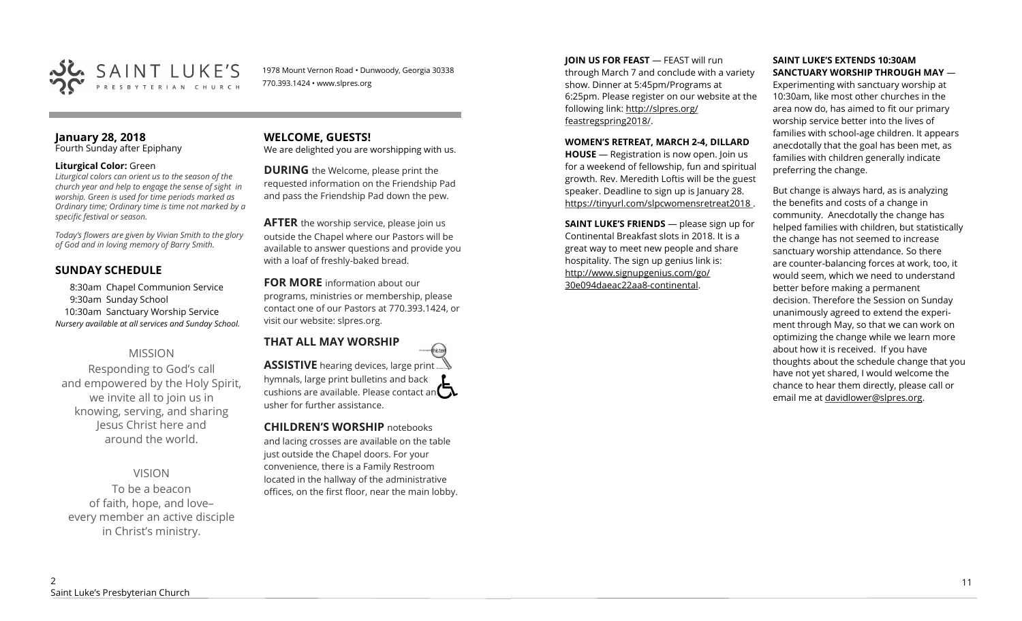

1978 Mount Vernon Road • Dunwoody, Georgia 30338 770.393.1424 • www.slpres.org

#### **January 28, 2018**  Fourth Sunday after Epiphany

#### **Liturgical Color:** Green

*Liturgical colors can orient us to the season of the church year and help to engage the sense of sight in worship. Green is used for time periods marked as Ordinary time; Ordinary time is time not marked by a specific festival or season.*

*Today's flowers are given by Vivian Smith to the glory of God and in loving memory of Barry Smith.*

#### **SUNDAY SCHEDULE**

8:30am Chapel Communion Service 9:30am Sunday School 10:30am Sanctuary Worship Service *Nursery available at all services and Sunday School.* 

## MISSION

Responding to God's call and empowered by the Holy Spirit, we invite all to join us in knowing, serving, and sharing Jesus Christ here and around the world.

VISION

To be a beacon of faith, hope, and love– every member an active disciple in Christ's ministry.

#### **WELCOME, GUESTS!**  We are delighted you are worshipping with us.

**DURING** the Welcome, please print the requested information on the Friendship Pad and pass the Friendship Pad down the pew.

**AFTER** the worship service, please join us outside the Chapel where our Pastors will be available to answer questions and provide you with a loaf of freshly-baked bread.

**FOR MORE** information about our programs, ministries or membership, please contact one of our Pastors at 770.393.1424, or visit our website: slpres.org.

# **THAT ALL MAY WORSHIP**

**ASSISTIVE** hearing devices, large print... hymnals, large print bulletins and back cushions are available. Please contact an  $\square$ usher for further assistance.

thisted

**CHILDREN'S WORSHIP** notebooks and lacing crosses are available on the table just outside the Chapel doors. For your convenience, there is a Family Restroom located in the hallway of the administrative offices, on the first floor, near the main lobby. **JOIN US FOR FEAST** — FEAST will run through March 7 and conclude with a variety show. Dinner at 5:45pm/Programs at 6:25pm. Please register on our website at the following link: [http://slpres.org/](http://slpres.org/feastregspring2018/) [feastregspring2018/.](http://slpres.org/feastregspring2018/)

#### **WOMEN'S RETREAT, MARCH 2-4, DILLARD**

**HOUSE** — Registration is now open. Join us for a weekend of fellowship, fun and spiritual growth. Rev. Meredith Loftis will be the guest speaker. Deadline to sign up is January 28. https://tinyurl.com/slpcwomensretreat2018 .

**SAINT LUKE'S FRIENDS** — please sign up for Continental Breakfast slots in 2018. It is a great way to meet new people and share hospitality. The sign up genius link is: <http://www.signupgenius.com/go/> 30e094daeac22aa8-continental.

#### **SAINT LUKE'S EXTENDS 10:30AM SANCTUARY WORSHIP THROUGH MAY** —

Experimenting with sanctuary worship at 10:30am, like most other churches in the area now do, has aimed to fit our primary worship service better into the lives of families with school-age children. It appears anecdotally that the goal has been met, as families with children generally indicate preferring the change.

But change is always hard, as is analyzing the benefits and costs of a change in community. Anecdotally the change has helped families with children, but statistically the change has not seemed to increase sanctuary worship attendance. So there are counter-balancing forces at work, too, it would seem, which we need to understand better before making a permanent decision. Therefore the Session on Sunday unanimously agreed to extend the experiment through May, so that we can work on optimizing the change while we learn more about how it is received. If you have thoughts about the schedule change that you have not yet shared, I would welcome the chance to hear them directly, please call or email me at [davidlower@slpres.org.](mailto:davidlower@slpres.org)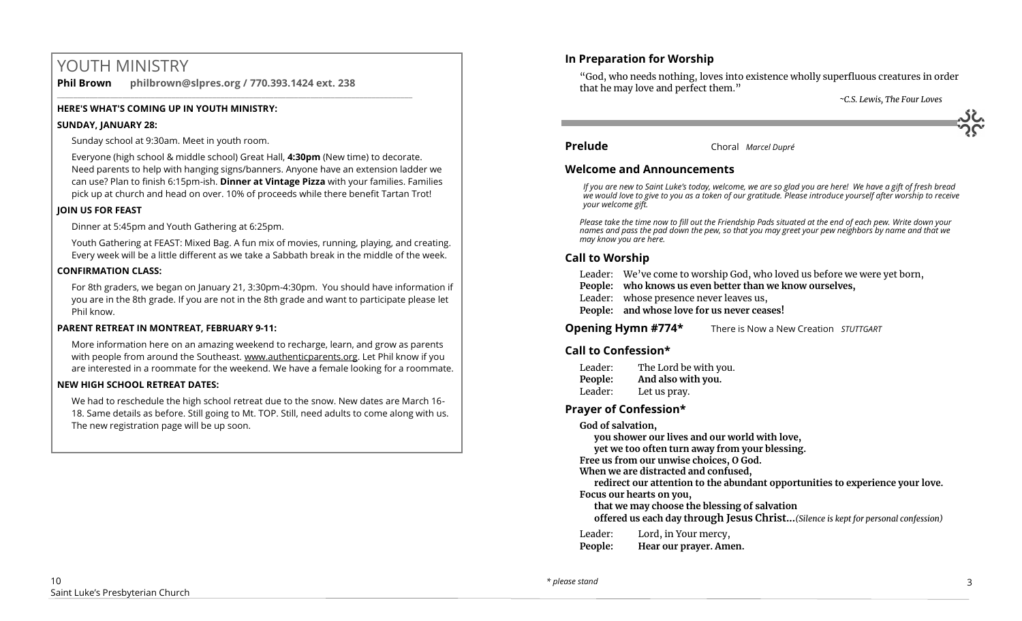# YOUTH MINISTRY

**Phil Brown philbrown@slpres.org / 770.393.1424 ext. 238** 

\_\_\_\_\_\_\_\_\_\_\_\_\_\_\_\_\_\_\_\_\_\_\_\_\_\_\_\_\_\_\_\_\_\_\_\_\_\_\_\_\_\_\_\_\_\_\_\_\_\_\_\_\_\_\_\_\_\_\_\_\_\_\_\_\_\_\_\_\_\_\_\_\_\_\_\_\_\_\_\_\_\_\_\_\_\_\_

#### **HERE'S WHAT'S COMING UP IN YOUTH MINISTRY:**

#### **SUNDAY, JANUARY 28:**

Sunday school at 9:30am. Meet in youth room.

Everyone (high school & middle school) Great Hall, **4:30pm** (New time) to decorate. Need parents to help with hanging signs/banners. Anyone have an extension ladder we can use? Plan to finish 6:15pm-ish. **Dinner at Vintage Pizza** with your families. Families pick up at church and head on over. 10% of proceeds while there benefit Tartan Trot!

#### **JOIN US FOR FEAST**

Dinner at 5:45pm and Youth Gathering at 6:25pm.

Youth Gathering at FEAST: Mixed Bag. A fun mix of movies, running, playing, and creating. Every week will be a little different as we take a Sabbath break in the middle of the week.

#### **CONFIRMATION CLASS:**

For 8th graders, we began on January 21, 3:30pm-4:30pm. You should have information if you are in the 8th grade. If you are not in the 8th grade and want to participate please let Phil know.

#### **PARENT RETREAT IN MONTREAT, FEBRUARY 9-11:**

[More information here](https://www.authenticparents.org/) on an amazing weekend to recharge, learn, and grow as parents with people from around the Southeast. [www.authenticparents.org.](http://www.authenticparents.org/) Let Phil know if you are interested in a roommate for the weekend. We have a female looking for a roommate.

#### **NEW HIGH SCHOOL RETREAT DATES:**

We had to reschedule the high school retreat due to the snow. New dates are March 16- 18. Same details as before. Still going to Mt. TOP. Still, need adults to come along with us. The new registration page will be up soon.

#### **In Preparation for Worship**

"God, who needs nothing, loves into existence wholly superfluous creatures in order that he may love and perfect them."

*~C.S. Lewis, The Four Loves*

**Prelude** Choral *Marcel Dupré*

#### **Welcome and Announcements**

*If you are new to Saint Luke's today, welcome, we are so glad you are here! We have a gift of fresh bread we would love to give to you as a token of our gratitude. Please introduce yourself after worship to receive your welcome gift.*

*Please take the time now to fill out the Friendship Pads situated at the end of each pew. Write down your names and pass the pad down the pew, so that you may greet your pew neighbors by name and that we may know you are here.*

#### **Call to Worship**

Leader: We've come to worship God, who loved us before we were yet born,

**People: who knows us even better than we know ourselves,**

- Leader: whose presence never leaves us,
- **People: and whose love for us never ceases!**

**Opening Hymn #774\*** There is Now a New Creation *STUTTGART*

#### **Call to Confession\***

| Leader: | The Lord be with you. |
|---------|-----------------------|
| People: | And also with you.    |
| Leader: | Let us pray.          |

#### **Prayer of Confession\***

**God of salvation,**

**you shower our lives and our world with love,** 

**yet we too often turn away from your blessing.** 

**Free us from our unwise choices, O God.** 

**When we are distracted and confused,** 

**redirect our attention to the abundant opportunities to experience your love. Focus our hearts on you,** 

**that we may choose the blessing of salvation** 

**offered us each day through Jesus Christ...***(Silence is kept for personal confession)* 

Leader: Lord, in Your mercy,

**People: Hear our prayer. Amen.**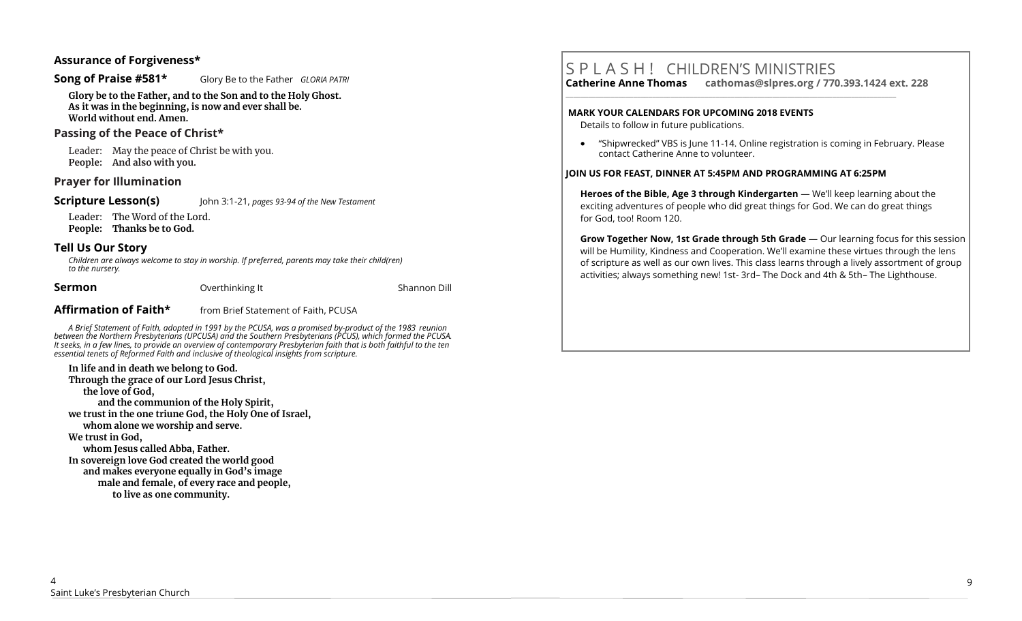#### **Assurance of Forgiveness\***

#### **Song of Praise #581\*** Glory Be to the Father *GLORIA PATRI*

**Glory be to the Father, and to the Son and to the Holy Ghost. As it was in the beginning, is now and ever shall be. World without end. Amen.** 

#### **Passing of the Peace of Christ\***

Leader: May the peace of Christ be with you. **People: And also with you.** 

#### **Prayer for Illumination**

#### **Scripture Lesson(s)** John 3:1-21, *pages 93-94 of the New Testament*

Leader: The Word of the Lord. **People: Thanks be to God.**

#### **Tell Us Our Story**

*Children are always welcome to stay in worship. If preferred, parents may take their child(ren) to the nursery.*

**Sermon Conserverthing It Conserverthing It** Shannon Dill

**Affirmation of Faith\*** from Brief Statement of Faith, PCUSA

*A Brief Statement of Faith, adopted in 1991 by the PCUSA, was a promised by-product of the 1983 reunion between the Northern Presbyterians (UPCUSA) and the Southern Presbyterians (PCUS), which formed the PCUSA. It seeks, in a few lines, to provide an overview of contemporary Presbyterian faith that is both faithful to the ten essential tenets of Reformed Faith and inclusive of theological insights from scripture.*

**In life and in death we belong to God. Through the grace of our Lord Jesus Christ, the love of God, and the communion of the Holy Spirit, we trust in the one triune God, the Holy One of Israel, whom alone we worship and serve. We trust in God, whom Jesus called Abba, Father. In sovereign love God created the world good and makes everyone equally in God's image male and female, of every race and people, to live as one community.**

# S P L A S H ! CHILDREN'S MINISTRIES

**Catherine Anne Thomas cathomas@slpres.org / 770.393.1424 ext. 228 \_\_\_\_\_\_\_\_\_\_\_\_\_\_\_\_\_\_\_\_\_\_\_\_\_\_\_\_\_\_\_\_\_\_\_\_\_\_\_\_\_\_\_\_\_\_\_\_\_\_\_\_\_\_\_\_\_\_\_\_\_\_\_\_\_\_\_\_\_\_\_\_\_\_\_\_\_\_\_\_\_\_\_\_\_\_\_\_** 

#### **MARK YOUR CALENDARS FOR UPCOMING 2018 EVENTS**

Details to follow in future publications.

• "Shipwrecked" VBS is June 11-14. Online registration is coming in February. Please contact Catherine Anne to volunteer.

#### **JOIN US FOR FEAST, DINNER AT 5:45PM AND PROGRAMMING AT 6:25PM**

**Heroes of the Bible, Age 3 through Kindergarten** — We'll keep learning about the exciting adventures of people who did great things for God. We can do great things for God, too! Room 120.

**Grow Together Now, 1st Grade through 5th Grade** — Our learning focus for this session will be Humility, Kindness and Cooperation. We'll examine these virtues through the lens of scripture as well as our own lives. This class learns through a lively assortment of group activities; always something new! 1st- 3rd– The Dock and 4th & 5th– The Lighthouse.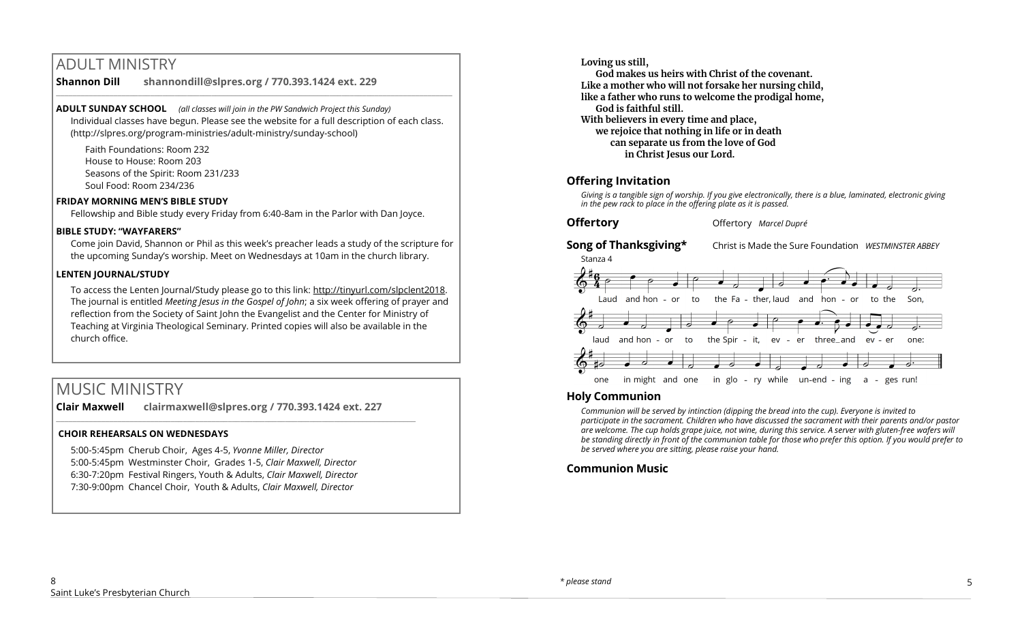# ADULT MINISTRY

**Shannon Dill shannondill@slpres.org / 770.393.1424 ext. 229**   $\_$  ,  $\_$  ,  $\_$  ,  $\_$  ,  $\_$  ,  $\_$  ,  $\_$  ,  $\_$  ,  $\_$  ,  $\_$  ,  $\_$  ,  $\_$  ,  $\_$  ,  $\_$  ,  $\_$  ,  $\_$  ,  $\_$  ,  $\_$  ,  $\_$  ,  $\_$ 

**ADULT SUNDAY SCHOOL** *(all classes will join in the PW Sandwich Project this Sunday)*  Individual classes have begun. Please see the website for a full description of each class. (http://slpres.org/program-ministries/adult-ministry/sunday-school)

Faith Foundations: Room 232 House to House: Room 203 Seasons of the Spirit: Room 231/233 Soul Food: Room 234/236

#### **FRIDAY MORNING MEN'S BIBLE STUDY**

Fellowship and Bible study every Friday from 6:40-8am in the Parlor with Dan Joyce.

#### **BIBLE STUDY: "WAYFARERS"**

Come join David, Shannon or Phil as this week's preacher leads a study of the scripture for the upcoming Sunday's worship. Meet on Wednesdays at 10am in the church library.

#### **LENTEN JOURNAL/STUDY**

To access the Lenten Journal/Study please go to this link: http://tinyurl.com/slpclent2018. The journal is entitled *Meeting Jesus in the Gospel of John*; a six week offering of prayer and reflection from the Society of Saint John the Evangelist and the Center for Ministry of Teaching at Virginia Theological Seminary. Printed copies will also be available in the church office.

# MUSIC MINISTRY

**Clair Maxwell clairmaxwell@slpres.org / 770.393.1424 ext. 227**   $\_$  , and the set of the set of the set of the set of the set of the set of the set of the set of the set of the set of the set of the set of the set of the set of the set of the set of the set of the set of the set of th

#### **CHOIR REHEARSALS ON WEDNESDAYS**

5:00-5:45pm Cherub Choir, Ages 4-5, *Yvonne Miller, Director*  5:00-5:45pm Westminster Choir, Grades 1-5, *Clair Maxwell, Director*  6:30-7:20pm Festival Ringers, Youth & Adults, *Clair Maxwell, Director*  7:30-9:00pm Chancel Choir, Youth & Adults, *Clair Maxwell, Director* 

**Loving us still, God makes us heirs with Christ of the covenant. Like a mother who will not forsake her nursing child, like a father who runs to welcome the prodigal home, God is faithful still. With believers in every time and place, we rejoice that nothing in life or in death can separate us from the love of God in Christ Jesus our Lord.**

## **Offering Invitation**

*Giving is a tangible sign of worship. If you give electronically, there is a blue, laminated, electronic giving in the pew rack to place in the offering plate as it is passed.*

**Offertory Offertory** *Marcel Dupré* 

**Song of Thanksgiving\*** Christ is Made the Sure Foundation *WESTMINSTER ABBEY*



## **Holy Communion**

*Communion will be served by intinction (dipping the bread into the cup). Everyone is invited to participate in the sacrament. Children who have discussed the sacrament with their parents and/or pastor are welcome. The cup holds grape juice, not wine, during this service. A server with gluten-free wafers will be standing directly in front of the communion table for those who prefer this option. If you would prefer to be served where you are sitting, please raise your hand.* 

## **Communion Music**